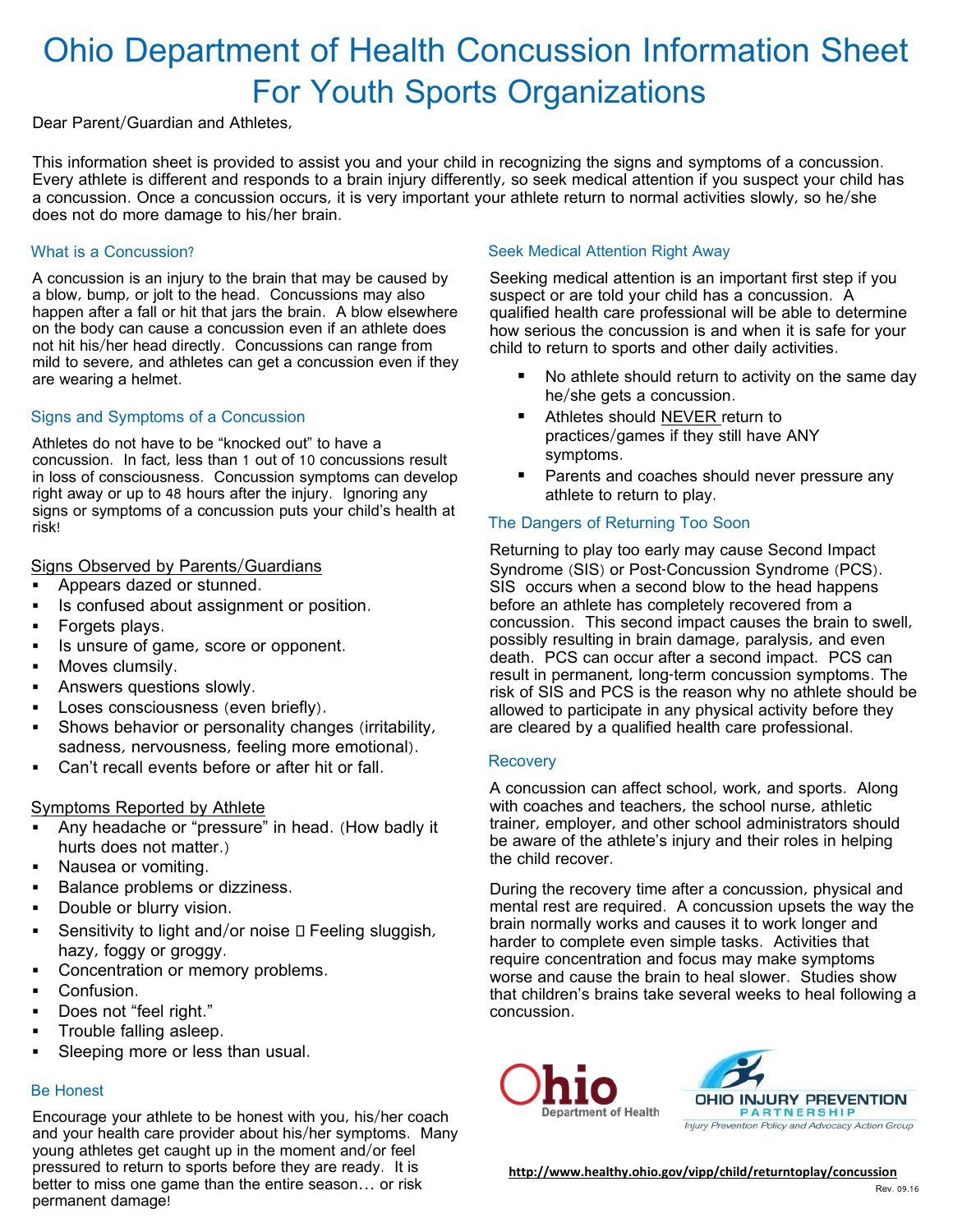# Ohio Department of Health Concussion Information Sheet For Youth Sports Organizations

Dear Parent/Guardian and Athletes,

This information sheet is provided to assist you and your child in recognizing the signs and symptoms of a concussion. Every athlete is different and responds to a brain injury differently, so seek medical attention if you suspect your child has a concussion. Once a concussion occurs, it is very important your athlete return to normal activities slowly, so he/she does not do more damage to his/her brain.

#### What is a Concussion?

A concussion is an injury to the brain that may be caused by a blow, bump, or jolt to the head. Concussions may also happen after a fall or hit that jars the brain. A blow elsewhere on the body can cause a concussion even if an athlete does not hit his/her head directly. Concussions can range from mild to severe, and athletes can get a concussion even if they are wearing a helmet.

#### Signs and Symptoms of a Concussion

Athletes do not have to be "knocked out" to have a concussion. In fact, less than 1 out of 10 concussions result in loss of consciousness. Concussion symptoms can develop right away or up to 48 hours after the injury. Ignoring any signs or symptoms of a concussion puts your child's health at risk!

#### Signs Observed by Parents/Guardians

- Appears dazed or stunned.
- Is confused about assignment or position.
- Forgets plays.
- Is unsure of game, score or opponent.
- Moves clumsily.
- Answers questions slowly.
- Loses consciousness (even briefly).
- Shows behavior or personality changes (irritability, sadness, nervousness, feeling more emotional).
- Can't recall events before or after hit or fall.

#### Symptoms Reported by Athlete

- Any headache or "pressure" in head. (How badly it hurts does not matter.)
- Nausea or vomiting.
- Balance problems or dizziness.
- Double or blurry vision.
- Sensitivity to light and/or noise  $\square$  Feeling sluggish, hazy, foggy or groggy.
- Concentration or memory problems.
- Confusion.
- Does not "feel right."
- Trouble falling asleep.
- **Sleeping more or less than usual.**

#### Be Honest

Encourage your athlete to be honest with you, his/her coach and your health care provider about his/her symptoms. Many young athletes get caught up in the moment and/or feel pressured to return to sports before they are ready. It is better to miss one game than the entire season… or risk permanent damage!

#### Seek Medical Attention Right Away

Seeking medical attention is an important first step if you suspect or are told your child has a concussion. A qualified health care professional will be able to determine how serious the concussion is and when it is safe for your child to return to sports and other daily activities.

- No athlete should return to activity on the same day he/she gets a concussion.
- Athletes should NEVER return to practices/games if they still have ANY symptoms.
- **Parents and coaches should never pressure any** athlete to return to play.

### The Dangers of Returning Too Soon

Returning to play too early may cause Second Impact Syndrome (SIS) or Post-Concussion Syndrome (PCS). SIS occurs when a second blow to the head happens before an athlete has completely recovered from a concussion. This second impact causes the brain to swell, possibly resulting in brain damage, paralysis, and even death. PCS can occur after a second impact. PCS can result in permanent, long-term concussion symptoms. The risk of SIS and PCS is the reason why no athlete should be allowed to participate in any physical activity before they are cleared by a qualified health care professional.

#### **Recovery**

A concussion can affect school, work, and sports. Along with coaches and teachers, the school nurse, athletic trainer, employer, and other school administrators should be aware of the athlete's injury and their roles in helping the child recover.

During the recovery time after a concussion, physical and mental rest are required. A concussion upsets the way the brain normally works and causes it to work longer and harder to complete even simple tasks. Activities that require concentration and focus may make symptoms worse and cause the brain to heal slower. Studies show that children's brains take several weeks to heal following a concussion.





**http://www.healthy.ohio.gov/vipp/child/returntoplay/concussion**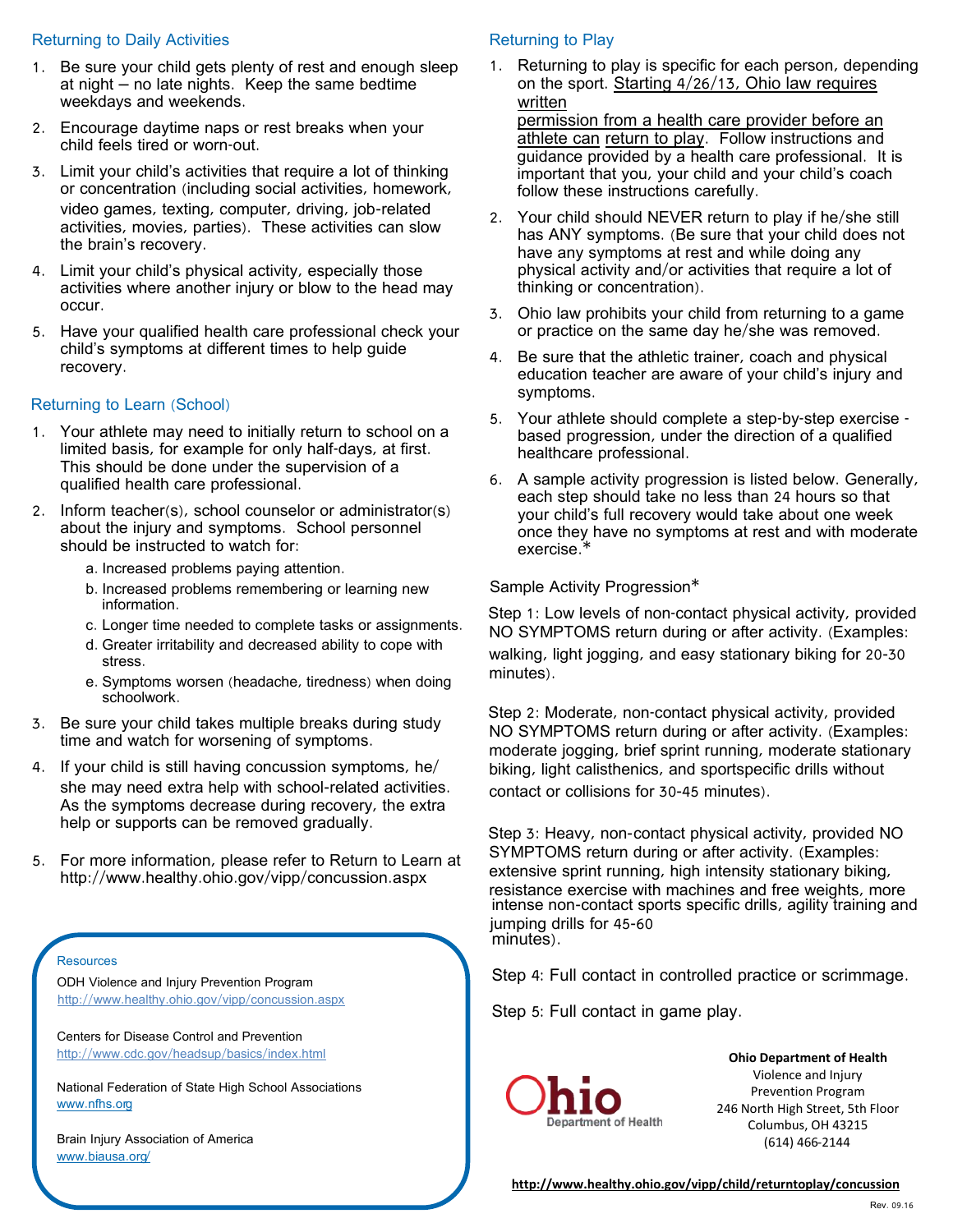#### Returning to Daily Activities

- 1. Be sure your child gets plenty of rest and enough sleep at night – no late nights. Keep the same bedtime weekdays and weekends.
- 2. Encourage daytime naps or rest breaks when your child feels tired or worn-out.
- 3. Limit your child's activities that require a lot of thinking or concentration (including social activities, homework, video games, texting, computer, driving, job‐related activities, movies, parties). These activities can slow the brain's recovery.
- 4. Limit your child's physical activity, especially those activities where another injury or blow to the head may occur.
- 5. Have your qualified health care professional check your child's symptoms at different times to help guide recovery.

## Returning to Learn (School)

- 1. Your athlete may need to initially return to school on a limited basis, for example for only half-days, at first. This should be done under the supervision of a qualified health care professional.
- 2. Inform teacher(s), school counselor or administrator(s) about the injury and symptoms. School personnel should be instructed to watch for:
	- a. Increased problems paying attention.
	- b. Increased problems remembering or learning new information.
	- c. Longer time needed to complete tasks or assignments.
	- d. Greater irritability and decreased ability to cope with stress.
	- e. Symptoms worsen (headache, tiredness) when doing schoolwork.
- 3. Be sure your child takes multiple breaks during study time and watch for worsening of symptoms.
- 4. If your child is still having concussion symptoms, he/ she may need extra help with school‐related activities. As the symptoms decrease during recovery, the extra help or supports can be removed gradually.
- 5. For more information, please refer to Return to Learn at http://www.healthy.ohio.gov/vipp/concussion.aspx

#### **Resources**

ODH Violence and Injury Prevention Program http://www.healthy.ohio.gov/vipp/concussion.aspx

Centers for Disease Control and Prevention http://www.cdc.gov/headsup/basics/index.html

National Federation of State High School Associations [www.nfhs.org](http://www.nfhs.org/)

#### Brain Injury Association of America [www.biausa.org/](http://www.biausa.org/)

#### Returning to Play

1. Returning to play is specific for each person, depending on the sport. Starting 4/26/13, Ohio law requires written

permission from a health care provider before an athlete can return to play. Follow instructions and guidance provided by a health care professional. It is important that you, your child and your child's coach follow these instructions carefully.

- 2. Your child should NEVER return to play if he/she still has ANY symptoms. (Be sure that your child does not have any symptoms at rest and while doing any physical activity and/or activities that require a lot of thinking or concentration).
- 3. Ohio law prohibits your child from returning to a game or practice on the same day he/she was removed.
- 4. Be sure that the athletic trainer, coach and physical education teacher are aware of your child's injury and symptoms.
- 5. Your athlete should complete a step-by-step exercise based progression, under the direction of a qualified healthcare professional.
- 6. A sample activity progression is listed below. Generally, each step should take no less than 24 hours so that your child's full recovery would take about one week once they have no symptoms at rest and with moderate exercise.\*

#### Sample Activity Progression\*

Step 1: Low levels of non-contact physical activity, provided NO SYMPTOMS return during or after activity. (Examples: walking, light jogging, and easy stationary biking for 20‐30 minutes).

Step 2: Moderate, non-contact physical activity, provided NO SYMPTOMS return during or after activity. (Examples: moderate jogging, brief sprint running, moderate stationary biking, light calisthenics, and sportspecific drills without contact or collisions for 30‐45 minutes).

intense non‐contact sports specific drills, agility training and jumping drills for 45‐60 Step 3: Heavy, non-contact physical activity, provided NO SYMPTOMS return during or after activity. (Examples: extensive sprint running, high intensity stationary biking, resistance exercise with machines and free weights, more minutes).

Step 4: Full contact in controlled practice or scrimmage.

Step 5: Full contact in game play.



**Ohio Department of Health** Violence and Injury Prevention Program 246 North High Street, 5th Floor Columbus, OH 43215 (614) 466-2144

**http://www.healthy.ohio.gov/vipp/child/returntoplay/concussion**